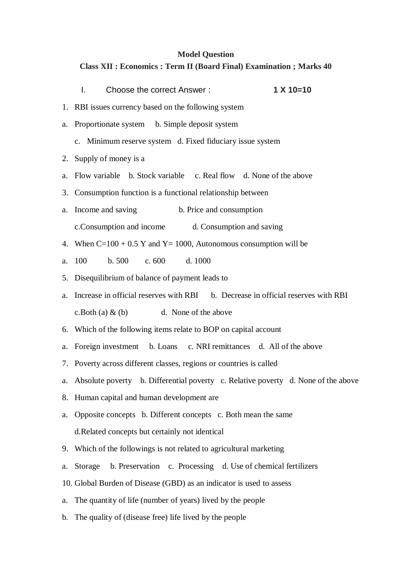## **Model Question**

# **Class XII : Economics : Term II (Board Final) Examination ; Marks 40**

|    | $1 X 10=10$<br>L.<br>Choose the correct Answer:                                      |
|----|--------------------------------------------------------------------------------------|
|    | 1. RBI issues currency based on the following system                                 |
|    | a. Proportionate system b. Simple deposit system                                     |
|    | c. Minimum reserve system d. Fixed fiduciary issue system                            |
|    | 2. Supply of money is a                                                              |
| a. | Flow variable b. Stock variable c. Real flow d. None of the above                    |
|    | 3. Consumption function is a functional relationship between                         |
| a. | Income and saving<br>b. Price and consumption                                        |
|    | c. Consumption and income<br>d. Consumption and saving                               |
|    | 4. When $C=100 + 0.5$ Y and Y = 1000, Autonomous consumption will be                 |
| a. | b.500<br>c.600<br>100<br>d. 1000                                                     |
|    | 5. Disequilibrium of balance of payment leads to                                     |
|    | a. Increase in official reserves with RBI b. Decrease in official reserves with RBI  |
|    | c. Both (a) $\&$ (b) d. None of the above                                            |
|    | 6. Which of the following items relate to BOP on capital account                     |
|    | a. Foreign investment b. Loans c. NRI remittances d. All of the above                |
|    | 7. Poverty across different classes, regions or countries is called                  |
|    | a. Absolute poverty b. Differential poverty c. Relative poverty d. None of the above |
|    | 8. Human capital and human development are                                           |
| a. | Opposite concepts b. Different concepts c. Both mean the same                        |
|    | d.Related concepts but certainly not identical                                       |
|    | 9. Which of the followings is not related to agricultural marketing                  |
| a. | b. Preservation c. Processing d. Use of chemical fertilizers<br>Storage              |
|    | 10. Global Burden of Disease (GBD) as an indicator is used to assess                 |
| a. | The quantity of life (number of years) lived by the people                           |
| b. | The quality of (disease free) life lived by the people                               |
|    |                                                                                      |